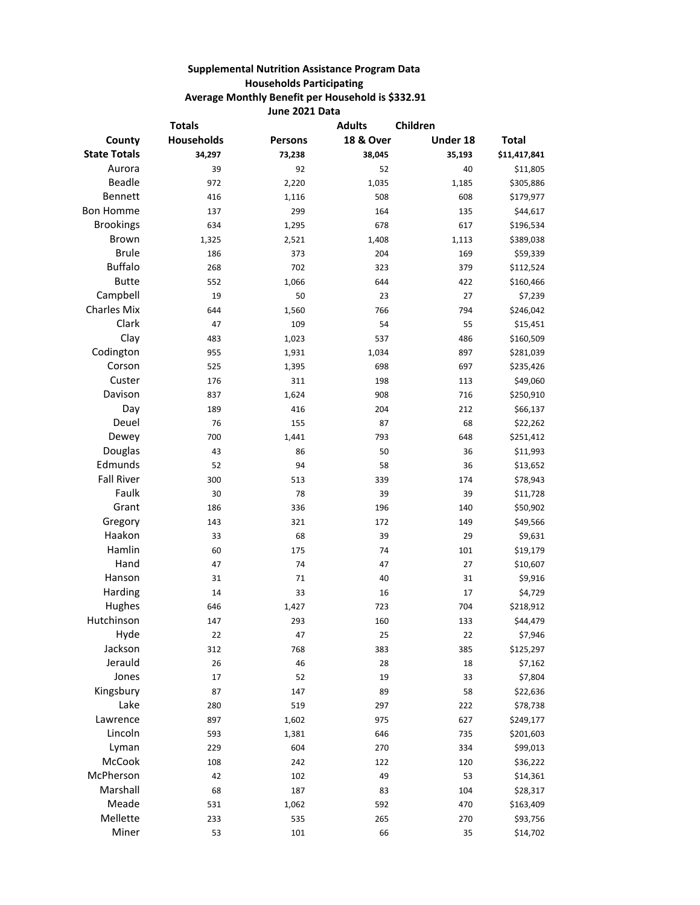## **Supplemental Nutrition Assistance Program Data Households Participating Average Monthly Benefit per Household is \$332.91 June 2021 Data**

| <b>Totals</b>       |                   |                | <b>Adults</b><br>Children |          |              |
|---------------------|-------------------|----------------|---------------------------|----------|--------------|
| County              | <b>Households</b> | <b>Persons</b> | <b>18 &amp; Over</b>      | Under 18 | <b>Total</b> |
| <b>State Totals</b> | 34,297            | 73,238         | 38,045                    | 35,193   | \$11,417,841 |
| Aurora              | 39                | 92             | 52                        | 40       | \$11,805     |
| <b>Beadle</b>       | 972               | 2,220          | 1,035                     | 1,185    | \$305,886    |
| Bennett             | 416               | 1,116          | 508                       | 608      | \$179,977    |
| <b>Bon Homme</b>    | 137               | 299            | 164                       | 135      | \$44,617     |
| <b>Brookings</b>    | 634               | 1,295          | 678                       | 617      | \$196,534    |
| <b>Brown</b>        | 1,325             | 2,521          | 1,408                     | 1,113    | \$389,038    |
| <b>Brule</b>        | 186               | 373            | 204                       | 169      | \$59,339     |
| <b>Buffalo</b>      | 268               | 702            | 323                       | 379      | \$112,524    |
| <b>Butte</b>        | 552               | 1,066          | 644                       | 422      | \$160,466    |
| Campbell            | 19                | 50             | 23                        | 27       | \$7,239      |
| <b>Charles Mix</b>  | 644               | 1,560          | 766                       | 794      | \$246,042    |
| Clark               | 47                | 109            | 54                        | 55       | \$15,451     |
| Clay                | 483               | 1,023          | 537                       | 486      | \$160,509    |
| Codington           | 955               | 1,931          | 1,034                     | 897      | \$281,039    |
| Corson              | 525               | 1,395          | 698                       | 697      | \$235,426    |
| Custer              | 176               | 311            | 198                       | 113      | \$49,060     |
| Davison             | 837               | 1,624          | 908                       | 716      | \$250,910    |
| Day                 | 189               | 416            | 204                       | 212      | \$66,137     |
| Deuel               | 76                | 155            | 87                        | 68       | \$22,262     |
| Dewey               | 700               | 1,441          | 793                       | 648      | \$251,412    |
| Douglas             | 43                | 86             | 50                        | 36       | \$11,993     |
| Edmunds             | 52                | 94             | 58                        | 36       | \$13,652     |
| <b>Fall River</b>   | 300               | 513            | 339                       | 174      | \$78,943     |
| Faulk               | 30                | 78             | 39                        | 39       | \$11,728     |
| Grant               | 186               | 336            | 196                       | 140      | \$50,902     |
| Gregory             | 143               | 321            | 172                       | 149      | \$49,566     |
| Haakon              | 33                | 68             | 39                        | 29       | \$9,631      |
| Hamlin              | 60                | 175            | 74                        | 101      | \$19,179     |
| Hand                | 47                | 74             | 47                        | 27       | \$10,607     |
| Hanson              | 31                | 71             | 40                        | 31       | \$9,916      |
| Harding             | 14                | 33             | 16                        | 17       | \$4,729      |
| Hughes              | 646               | 1,427          | 723                       | 704      | \$218,912    |
| Hutchinson          | 147               | 293            | 160                       | 133      | \$44,479     |
| Hyde                | 22                | 47             | 25                        | 22       | \$7,946      |
| Jackson             | 312               | 768            | 383                       | 385      | \$125,297    |
| Jerauld             | 26                | 46             | 28                        | 18       | \$7,162      |
| Jones               | 17                | 52             | 19                        | 33       | \$7,804      |
| Kingsbury           | 87                | 147            | 89                        | 58       | \$22,636     |
| Lake                | 280               | 519            | 297                       | 222      | \$78,738     |
| Lawrence            | 897               | 1,602          | 975                       | 627      | \$249,177    |
| Lincoln             | 593               | 1,381          | 646                       | 735      | \$201,603    |
| Lyman               | 229               | 604            | 270                       | 334      | \$99,013     |
| McCook              | 108               | 242            | 122                       | 120      | \$36,222     |
| McPherson           | 42                | 102            | 49                        | 53       | \$14,361     |
| Marshall            | 68                | 187            | 83                        | 104      | \$28,317     |
| Meade               | 531               | 1,062          | 592                       | 470      | \$163,409    |
| Mellette            | 233               | 535            | 265                       | 270      | \$93,756     |
| Miner               | 53                | 101            | 66                        | 35       | \$14,702     |